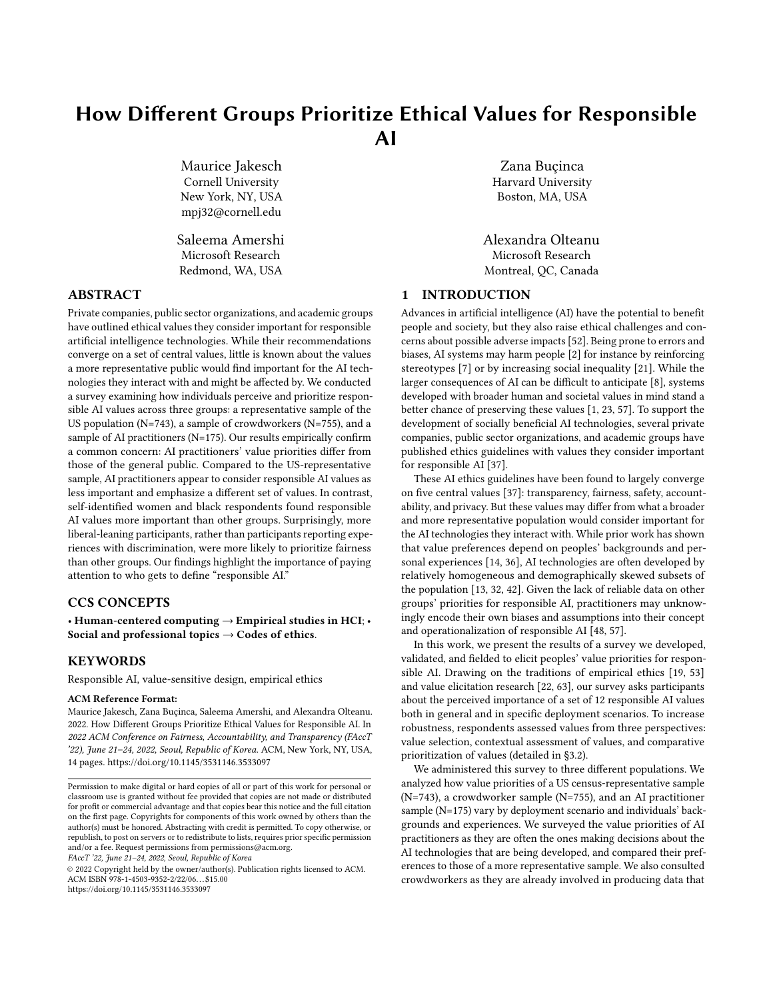# How Different Groups Prioritize Ethical Values for Responsible AI

Maurice Jakesch Cornell University New York, NY, USA mpj32@cornell.edu

Saleema Amershi Microsoft Research Redmond, WA, USA

#### ABSTRACT

Private companies, public sector organizations, and academic groups have outlined ethical values they consider important for responsible artificial intelligence technologies. While their recommendations converge on a set of central values, little is known about the values a more representative public would find important for the AI technologies they interact with and might be affected by. We conducted a survey examining how individuals perceive and prioritize responsible AI values across three groups: a representative sample of the US population (N=743), a sample of crowdworkers (N=755), and a sample of AI practitioners (N=175). Our results empirically confirm a common concern: AI practitioners' value priorities differ from those of the general public. Compared to the US-representative sample, AI practitioners appear to consider responsible AI values as less important and emphasize a different set of values. In contrast, self-identified women and black respondents found responsible AI values more important than other groups. Surprisingly, more liberal-leaning participants, rather than participants reporting experiences with discrimination, were more likely to prioritize fairness than other groups. Our findings highlight the importance of paying attention to who gets to define "responsible AI."

## CCS CONCEPTS

• Human-centered computing  $\rightarrow$  Empirical studies in HCI; • Social and professional topics  $\rightarrow$  Codes of ethics.

#### **KEYWORDS**

Responsible AI, value-sensitive design, empirical ethics

#### ACM Reference Format:

Maurice Jakesch, Zana Buçinca, Saleema Amershi, and Alexandra Olteanu. 2022. How Different Groups Prioritize Ethical Values for Responsible AI. In 2022 ACM Conference on Fairness, Accountability, and Transparency (FAccT '22), June 21–24, 2022, Seoul, Republic of Korea. ACM, New York, NY, USA, [14](#page-13-0) pages.<https://doi.org/10.1145/3531146.3533097>

FAccT '22, June 21–24, 2022, Seoul, Republic of Korea

© 2022 Copyright held by the owner/author(s). Publication rights licensed to ACM. ACM ISBN 978-1-4503-9352-2/22/06. . . \$15.00 <https://doi.org/10.1145/3531146.3533097>

Zana Buçinca Harvard University Boston, MA, USA

Alexandra Olteanu Microsoft Research Montreal, QC, Canada

#### 1 INTRODUCTION

Advances in artificial intelligence (AI) have the potential to benefit people and society, but they also raise ethical challenges and concerns about possible adverse impacts [\[52\]](#page-11-0). Being prone to errors and biases, AI systems may harm people [\[2\]](#page-10-0) for instance by reinforcing stereotypes [\[7\]](#page-10-1) or by increasing social inequality [\[21\]](#page-10-2). While the larger consequences of AI can be difficult to anticipate [\[8\]](#page-10-3), systems developed with broader human and societal values in mind stand a better chance of preserving these values [\[1,](#page-10-4) [23,](#page-10-5) [57\]](#page-11-1). To support the development of socially beneficial AI technologies, several private companies, public sector organizations, and academic groups have published ethics guidelines with values they consider important for responsible AI [\[37\]](#page-10-6).

These AI ethics guidelines have been found to largely converge on five central values [\[37\]](#page-10-6): transparency, fairness, safety, accountability, and privacy. But these values may differ from what a broader and more representative population would consider important for the AI technologies they interact with. While prior work has shown that value preferences depend on peoples' backgrounds and personal experiences [\[14,](#page-10-7) [36\]](#page-10-8), AI technologies are often developed by relatively homogeneous and demographically skewed subsets of the population [\[13,](#page-10-9) [32,](#page-10-10) [42\]](#page-11-2). Given the lack of reliable data on other groups' priorities for responsible AI, practitioners may unknowingly encode their own biases and assumptions into their concept and operationalization of responsible AI [\[48,](#page-11-3) [57\]](#page-11-1).

In this work, we present the results of a survey we developed, validated, and fielded to elicit peoples' value priorities for responsible AI. Drawing on the traditions of empirical ethics [\[19,](#page-10-11) [53\]](#page-11-4) and value elicitation research [\[22,](#page-10-12) [63\]](#page-11-5), our survey asks participants about the perceived importance of a set of 12 responsible AI values both in general and in specific deployment scenarios. To increase robustness, respondents assessed values from three perspectives: value selection, contextual assessment of values, and comparative prioritization of values (detailed in [§3.2\)](#page-4-0).

We administered this survey to three different populations. We analyzed how value priorities of a US census-representative sample (N=743), a crowdworker sample (N=755), and an AI practitioner sample (N=175) vary by deployment scenario and individuals' backgrounds and experiences. We surveyed the value priorities of AI practitioners as they are often the ones making decisions about the AI technologies that are being developed, and compared their preferences to those of a more representative sample. We also consulted crowdworkers as they are already involved in producing data that

Permission to make digital or hard copies of all or part of this work for personal or classroom use is granted without fee provided that copies are not made or distributed for profit or commercial advantage and that copies bear this notice and the full citation on the first page. Copyrights for components of this work owned by others than the author(s) must be honored. Abstracting with credit is permitted. To copy otherwise, or republish, to post on servers or to redistribute to lists, requires prior specific permission and/or a fee. Request permissions from permissions@acm.org.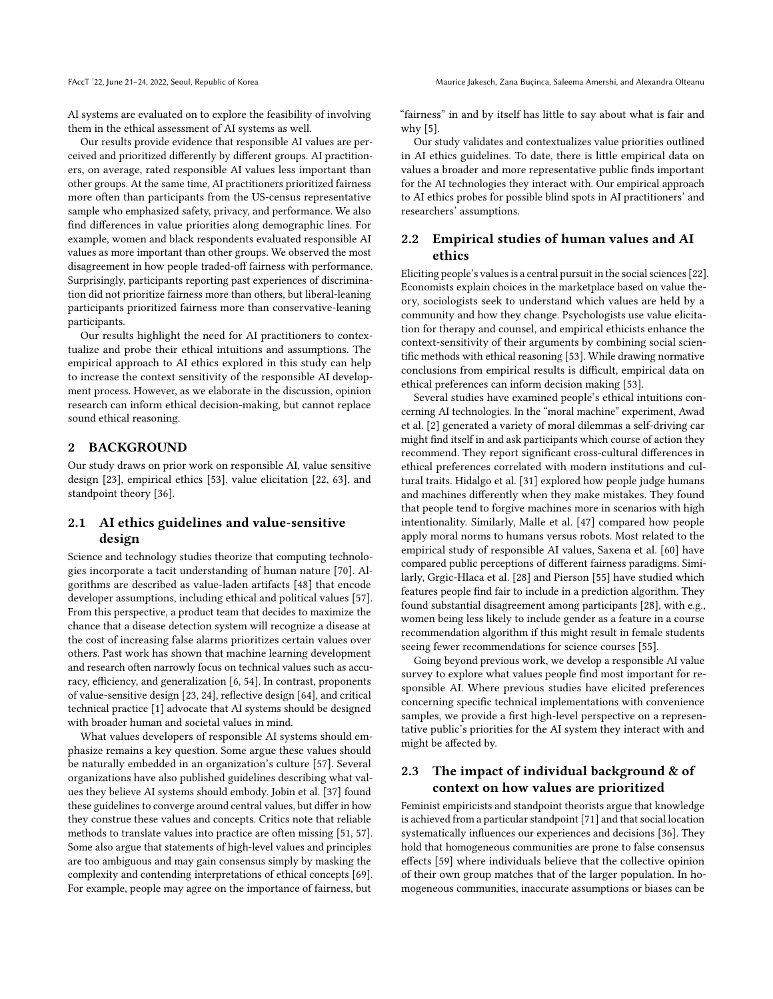AI systems are evaluated on to explore the feasibility of involving them in the ethical assessment of AI systems as well.

Our results provide evidence that responsible AI values are perceived and prioritized differently by different groups. AI practitioners, on average, rated responsible AI values less important than other groups. At the same time, AI practitioners prioritized fairness more often than participants from the US-census representative sample who emphasized safety, privacy, and performance. We also find differences in value priorities along demographic lines. For example, women and black respondents evaluated responsible AI values as more important than other groups. We observed the most disagreement in how people traded-off fairness with performance. Surprisingly, participants reporting past experiences of discrimination did not prioritize fairness more than others, but liberal-leaning participants prioritized fairness more than conservative-leaning participants.

Our results highlight the need for AI practitioners to contextualize and probe their ethical intuitions and assumptions. The empirical approach to AI ethics explored in this study can help to increase the context sensitivity of the responsible AI development process. However, as we elaborate in the discussion, opinion research can inform ethical decision-making, but cannot replace sound ethical reasoning.

#### 2 BACKGROUND

Our study draws on prior work on responsible AI, value sensitive design [\[23\]](#page-10-5), empirical ethics [\[53\]](#page-11-4), value elicitation [\[22,](#page-10-12) [63\]](#page-11-5), and standpoint theory [\[36\]](#page-10-8).

## 2.1 AI ethics guidelines and value-sensitive design

Science and technology studies theorize that computing technologies incorporate a tacit understanding of human nature [\[70\]](#page-11-6). Algorithms are described as value-laden artifacts [\[48\]](#page-11-3) that encode developer assumptions, including ethical and political values [\[57\]](#page-11-1). From this perspective, a product team that decides to maximize the chance that a disease detection system will recognize a disease at the cost of increasing false alarms prioritizes certain values over others. Past work has shown that machine learning development and research often narrowly focus on technical values such as accuracy, efficiency, and generalization [\[6,](#page-10-13) [54\]](#page-11-7). In contrast, proponents of value-sensitive design [\[23,](#page-10-5) [24\]](#page-10-14), reflective design [\[64\]](#page-11-8), and critical technical practice [\[1\]](#page-10-4) advocate that AI systems should be designed with broader human and societal values in mind.

What values developers of responsible AI systems should emphasize remains a key question. Some argue these values should be naturally embedded in an organization's culture [\[57\]](#page-11-1). Several organizations have also published guidelines describing what values they believe AI systems should embody. Jobin et al. [\[37\]](#page-10-6) found these guidelines to converge around central values, but differ in how they construe these values and concepts. Critics note that reliable methods to translate values into practice are often missing [\[51,](#page-11-9) [57\]](#page-11-1). Some also argue that statements of high-level values and principles are too ambiguous and may gain consensus simply by masking the complexity and contending interpretations of ethical concepts [\[69\]](#page-11-10). For example, people may agree on the importance of fairness, but

"fairness" in and by itself has little to say about what is fair and why [\[5\]](#page-10-15).

Our study validates and contextualizes value priorities outlined in AI ethics guidelines. To date, there is little empirical data on values a broader and more representative public finds important for the AI technologies they interact with. Our empirical approach to AI ethics probes for possible blind spots in AI practitioners' and researchers' assumptions.

## 2.2 Empirical studies of human values and AI ethics

Eliciting people's values is a central pursuit in the social sciences [\[22\]](#page-10-12). Economists explain choices in the marketplace based on value theory, sociologists seek to understand which values are held by a community and how they change. Psychologists use value elicitation for therapy and counsel, and empirical ethicists enhance the context-sensitivity of their arguments by combining social scientific methods with ethical reasoning [\[53\]](#page-11-4). While drawing normative conclusions from empirical results is difficult, empirical data on ethical preferences can inform decision making [\[53\]](#page-11-4).

Several studies have examined people's ethical intuitions concerning AI technologies. In the "moral machine" experiment, Awad et al. [\[2\]](#page-10-0) generated a variety of moral dilemmas a self-driving car might find itself in and ask participants which course of action they recommend. They report significant cross-cultural differences in ethical preferences correlated with modern institutions and cultural traits. Hidalgo et al. [\[31\]](#page-10-16) explored how people judge humans and machines differently when they make mistakes. They found that people tend to forgive machines more in scenarios with high intentionality. Similarly, Malle et al. [\[47\]](#page-11-11) compared how people apply moral norms to humans versus robots. Most related to the empirical study of responsible AI values, Saxena et al. [\[60\]](#page-11-12) have compared public perceptions of different fairness paradigms. Similarly, Grgic-Hlaca et al. [\[28\]](#page-10-17) and Pierson [\[55\]](#page-11-13) have studied which features people find fair to include in a prediction algorithm. They found substantial disagreement among participants [\[28\]](#page-10-17), with e.g., women being less likely to include gender as a feature in a course recommendation algorithm if this might result in female students seeing fewer recommendations for science courses [\[55\]](#page-11-13).

Going beyond previous work, we develop a responsible AI value survey to explore what values people find most important for responsible AI. Where previous studies have elicited preferences concerning specific technical implementations with convenience samples, we provide a first high-level perspective on a representative public's priorities for the AI system they interact with and might be affected by.

## 2.3 The impact of individual background & of context on how values are prioritized

Feminist empiricists and standpoint theorists argue that knowledge is achieved from a particular standpoint [\[71\]](#page-11-14) and that social location systematically influences our experiences and decisions [\[36\]](#page-10-8). They hold that homogeneous communities are prone to false consensus effects [\[59\]](#page-11-15) where individuals believe that the collective opinion of their own group matches that of the larger population. In homogeneous communities, inaccurate assumptions or biases can be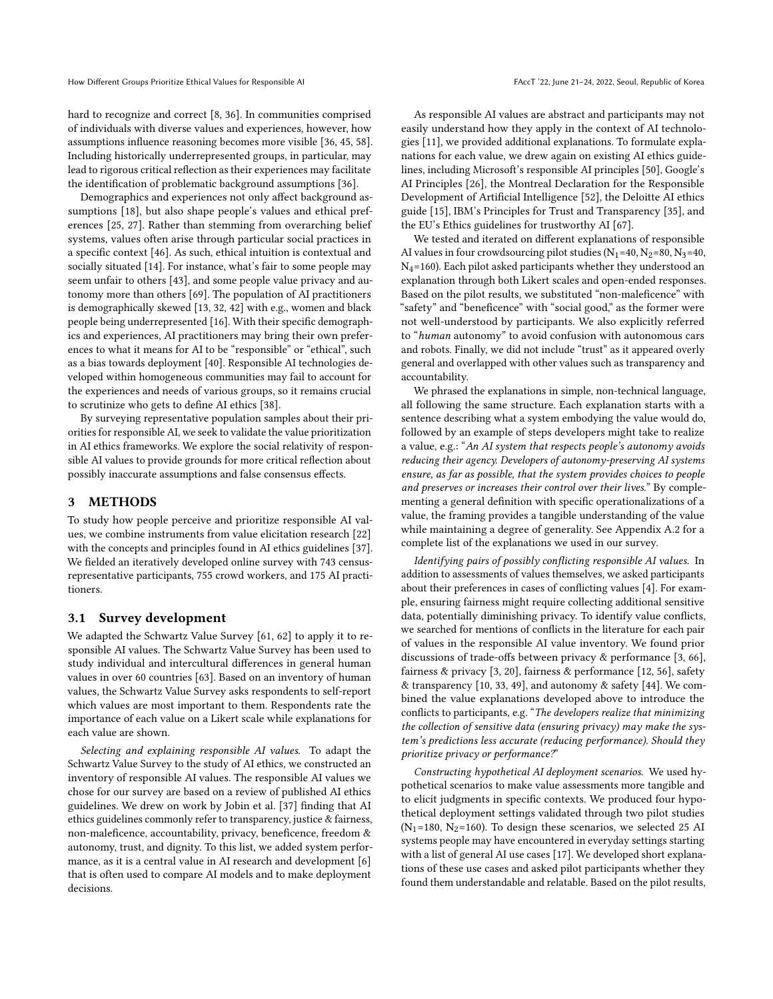hard to recognize and correct [\[8,](#page-10-3) [36\]](#page-10-8). In communities comprised of individuals with diverse values and experiences, however, how assumptions influence reasoning becomes more visible [\[36,](#page-10-8) [45,](#page-11-16) [58\]](#page-11-17). Including historically underrepresented groups, in particular, may lead to rigorous critical reflection as their experiences may facilitate the identification of problematic background assumptions [\[36\]](#page-10-8).

Demographics and experiences not only affect background assumptions [\[18\]](#page-10-18), but also shape people's values and ethical preferences [\[25,](#page-10-19) [27\]](#page-10-20). Rather than stemming from overarching belief systems, values often arise through particular social practices in a specific context [\[46\]](#page-11-18). As such, ethical intuition is contextual and socially situated [\[14\]](#page-10-7). For instance, what's fair to some people may seem unfair to others [\[43\]](#page-11-19), and some people value privacy and autonomy more than others [\[69\]](#page-11-10). The population of AI practitioners is demographically skewed [\[13,](#page-10-9) [32,](#page-10-10) [42\]](#page-11-2) with e.g., women and black people being underrepresented [\[16\]](#page-10-21). With their specific demographics and experiences, AI practitioners may bring their own preferences to what it means for AI to be "responsible" or "ethical", such as a bias towards deployment [\[40\]](#page-10-22). Responsible AI technologies developed within homogeneous communities may fail to account for the experiences and needs of various groups, so it remains crucial to scrutinize who gets to define AI ethics [\[38\]](#page-10-23).

By surveying representative population samples about their priorities for responsible AI, we seek to validate the value prioritization in AI ethics frameworks. We explore the social relativity of responsible AI values to provide grounds for more critical reflection about possibly inaccurate assumptions and false consensus effects.

#### 3 METHODS

To study how people perceive and prioritize responsible AI values, we combine instruments from value elicitation research [\[22\]](#page-10-12) with the concepts and principles found in AI ethics guidelines [\[37\]](#page-10-6). We fielded an iteratively developed online survey with 743 censusrepresentative participants, 755 crowd workers, and 175 AI practitioners.

## 3.1 Survey development

We adapted the Schwartz Value Survey [\[61,](#page-11-20) [62\]](#page-11-21) to apply it to responsible AI values. The Schwartz Value Survey has been used to study individual and intercultural differences in general human values in over 60 countries [\[63\]](#page-11-5). Based on an inventory of human values, the Schwartz Value Survey asks respondents to self-report which values are most important to them. Respondents rate the importance of each value on a Likert scale while explanations for each value are shown.

Selecting and explaining responsible AI values. To adapt the Schwartz Value Survey to the study of AI ethics, we constructed an inventory of responsible AI values. The responsible AI values we chose for our survey are based on a review of published AI ethics guidelines. We drew on work by Jobin et al. [\[37\]](#page-10-6) finding that AI ethics guidelines commonly refer to transparency, justice & fairness, non-maleficence, accountability, privacy, beneficence, freedom & autonomy, trust, and dignity. To this list, we added system performance, as it is a central value in AI research and development [\[6\]](#page-10-13) that is often used to compare AI models and to make deployment decisions.

As responsible AI values are abstract and participants may not easily understand how they apply in the context of AI technologies [\[11\]](#page-10-24), we provided additional explanations. To formulate explanations for each value, we drew again on existing AI ethics guidelines, including Microsoft's responsible AI principles [\[50\]](#page-11-22), Google's AI Principles [\[26\]](#page-10-25), the Montreal Declaration for the Responsible Development of Artificial Intelligence [\[52\]](#page-11-0), the Deloitte AI ethics guide [\[15\]](#page-10-26), IBM's Principles for Trust and Transparency [\[35\]](#page-10-27), and the EU's Ethics guidelines for trustworthy AI [\[67\]](#page-11-23).

We tested and iterated on different explanations of responsible AI values in four crowdsourcing pilot studies  $(N_1=40, N_2=80, N_3=40, N_4=80)$  $N_4$ =160). Each pilot asked participants whether they understood an explanation through both Likert scales and open-ended responses. Based on the pilot results, we substituted "non-maleficence" with "safety" and "beneficence" with "social good," as the former were not well-understood by participants. We also explicitly referred to "human autonomy" to avoid confusion with autonomous cars and robots. Finally, we did not include "trust" as it appeared overly general and overlapped with other values such as transparency and accountability.

We phrased the explanations in simple, non-technical language, all following the same structure. Each explanation starts with a sentence describing what a system embodying the value would do, followed by an example of steps developers might take to realize a value, e.g.: "An AI system that respects people's autonomy avoids reducing their agency. Developers of autonomy-preserving AI systems ensure, as far as possible, that the system provides choices to people and preserves or increases their control over their lives." By complementing a general definition with specific operationalizations of a value, the framing provides a tangible understanding of the value while maintaining a degree of generality. See Appendix [A.2](#page-11-24) for a complete list of the explanations we used in our survey.

Identifying pairs of possibly conflicting responsible AI values. In addition to assessments of values themselves, we asked participants about their preferences in cases of conflicting values [\[4\]](#page-10-28). For example, ensuring fairness might require collecting additional sensitive data, potentially diminishing privacy. To identify value conflicts, we searched for mentions of conflicts in the literature for each pair of values in the responsible AI value inventory. We found prior discussions of trade-offs between privacy & performance [\[3,](#page-10-29) [66\]](#page-11-25), fairness & privacy [\[3,](#page-10-29) [20\]](#page-10-30), fairness & performance [\[12,](#page-10-31) [56\]](#page-11-26), safety & transparency [\[10,](#page-10-32) [33,](#page-10-33) [49\]](#page-11-27), and autonomy & safety [\[44\]](#page-11-28). We combined the value explanations developed above to introduce the conflicts to participants, e.g. "The developers realize that minimizing the collection of sensitive data (ensuring privacy) may make the system's predictions less accurate (reducing performance). Should they prioritize privacy or performance?"

Constructing hypothetical AI deployment scenarios. We used hypothetical scenarios to make value assessments more tangible and to elicit judgments in specific contexts. We produced four hypothetical deployment settings validated through two pilot studies ( $N_1$ =180,  $N_2$ =160). To design these scenarios, we selected 25 AI systems people may have encountered in everyday settings starting with a list of general AI use cases [\[17\]](#page-10-34). We developed short explanations of these use cases and asked pilot participants whether they found them understandable and relatable. Based on the pilot results,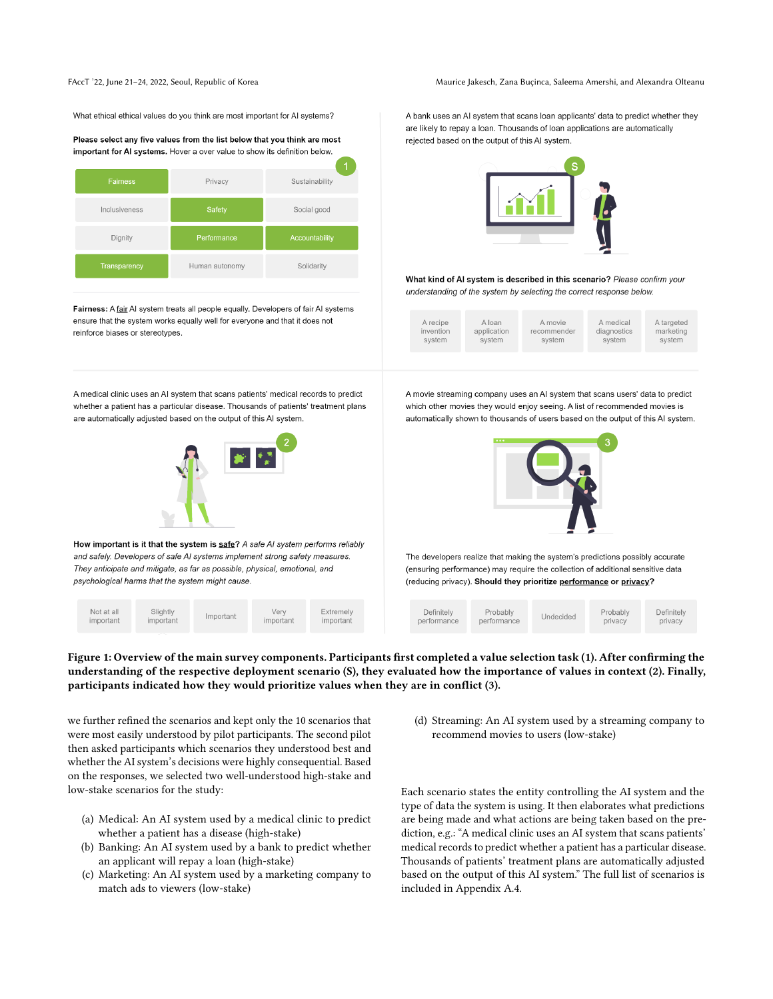FAccT '22, June 21-24, 2022, Seoul, Republic of Korea Maurice Jakesch, Zana Buçinca, Saleema Amershi, and Alexandra Olteanu

<span id="page-3-0"></span>What ethical ethical values do you think are most important for AI systems?





Fairness: A fair AI system treats all people equally. Developers of fair AI systems ensure that the system works equally well for everyone and that it does not reinforce biases or stereotypes.

A medical clinic uses an AI system that scans patients' medical records to predict whether a patient has a particular disease. Thousands of patients' treatment plans are automatically adjusted based on the output of this AI system.



How important is it that the system is safe? A safe AI system performs reliably and safely. Developers of safe AI systems implement strong safety measures. They anticipate and mitigate, as far as possible, physical, emotional, and psychological harms that the system might cause.

| Not at all<br>important | Slightly<br>important | Important | Verv<br>important | Extremely<br>important |  |
|-------------------------|-----------------------|-----------|-------------------|------------------------|--|
|-------------------------|-----------------------|-----------|-------------------|------------------------|--|

A bank uses an AI system that scans loan applicants' data to predict whether they are likely to repay a loan. Thousands of loan applications are automatically rejected based on the output of this AI system.



What kind of AI system is described in this scenario? Please confirm your understanding of the system by selecting the correct response below.

A movie streaming company uses an AI system that scans users' data to predict which other movies they would enjoy seeing. A list of recommended movies is automatically shown to thousands of users based on the output of this AI system.



The developers realize that making the system's predictions possibly accurate (ensuring performance) may require the collection of additional sensitive data (reducing privacy). Should they prioritize performance or privacy?

| Definitely<br>performance | Probably<br>performance | Undecided | Probably<br>privacy | Definitely<br>privacy |  |
|---------------------------|-------------------------|-----------|---------------------|-----------------------|--|
|                           |                         |           |                     |                       |  |

### Figure 1: Overview of the main survey components. Participants first completed a value selection task (1). After confirming the understanding of the respective deployment scenario (S), they evaluated how the importance of values in context (2). Finally, participants indicated how they would prioritize values when they are in conflict (3).

we further refined the scenarios and kept only the 10 scenarios that were most easily understood by pilot participants. The second pilot then asked participants which scenarios they understood best and whether the AI system's decisions were highly consequential. Based on the responses, we selected two well-understood high-stake and low-stake scenarios for the study:

- (a) Medical: An AI system used by a medical clinic to predict whether a patient has a disease (high-stake)
- (b) Banking: An AI system used by a bank to predict whether an applicant will repay a loan (high-stake)
- (c) Marketing: An AI system used by a marketing company to match ads to viewers (low-stake)

(d) Streaming: An AI system used by a streaming company to recommend movies to users (low-stake)

Each scenario states the entity controlling the AI system and the type of data the system is using. It then elaborates what predictions are being made and what actions are being taken based on the prediction, e.g.: "A medical clinic uses an AI system that scans patients' medical records to predict whether a patient has a particular disease. Thousands of patients' treatment plans are automatically adjusted based on the output of this AI system." The full list of scenarios is included in Appendix [A.4.](#page-12-0)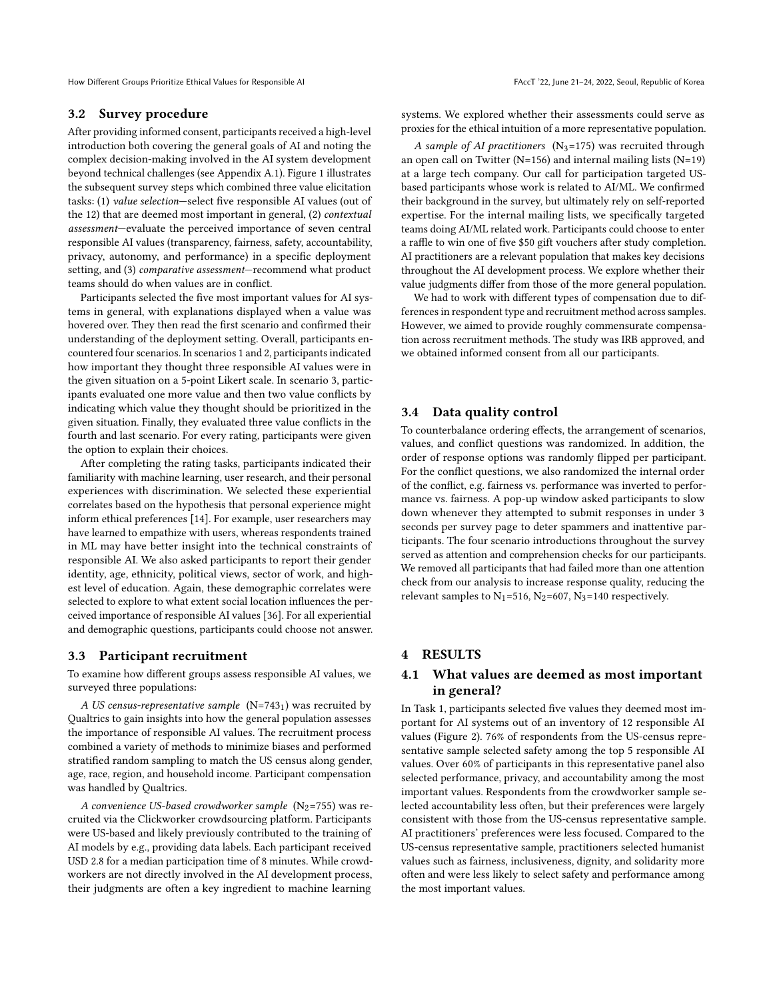How Different Groups Prioritize Ethical Values for Responsible AI FACCT '22, June 21-24, 2022, Seoul, Republic of Korea

#### <span id="page-4-0"></span>3.2 Survey procedure

After providing informed consent, participants received a high-level introduction both covering the general goals of AI and noting the complex decision-making involved in the AI system development beyond technical challenges (see Appendix [A.1\)](#page-11-29). Figure [1](#page-3-0) illustrates the subsequent survey steps which combined three value elicitation tasks: (1) value selection—select five responsible AI values (out of the 12) that are deemed most important in general, (2) contextual assessment—evaluate the perceived importance of seven central responsible AI values (transparency, fairness, safety, accountability, privacy, autonomy, and performance) in a specific deployment setting, and (3) comparative assessment—recommend what product teams should do when values are in conflict.

Participants selected the five most important values for AI systems in general, with explanations displayed when a value was hovered over. They then read the first scenario and confirmed their understanding of the deployment setting. Overall, participants encountered four scenarios. In scenarios 1 and 2, participants indicated how important they thought three responsible AI values were in the given situation on a 5-point Likert scale. In scenario 3, participants evaluated one more value and then two value conflicts by indicating which value they thought should be prioritized in the given situation. Finally, they evaluated three value conflicts in the fourth and last scenario. For every rating, participants were given the option to explain their choices.

After completing the rating tasks, participants indicated their familiarity with machine learning, user research, and their personal experiences with discrimination. We selected these experiential correlates based on the hypothesis that personal experience might inform ethical preferences [\[14\]](#page-10-7). For example, user researchers may have learned to empathize with users, whereas respondents trained in ML may have better insight into the technical constraints of responsible AI. We also asked participants to report their gender identity, age, ethnicity, political views, sector of work, and highest level of education. Again, these demographic correlates were selected to explore to what extent social location influences the perceived importance of responsible AI values [\[36\]](#page-10-8). For all experiential and demographic questions, participants could choose not answer.

#### 3.3 Participant recruitment

To examine how different groups assess responsible AI values, we surveyed three populations:

A US census-representative sample  $(N=743<sub>1</sub>)$  was recruited by Qualtrics to gain insights into how the general population assesses the importance of responsible AI values. The recruitment process combined a variety of methods to minimize biases and performed stratified random sampling to match the US census along gender, age, race, region, and household income. Participant compensation was handled by Qualtrics.

A convenience US-based crowdworker sample  $(N_2=755)$  was recruited via the Clickworker crowdsourcing platform. Participants were US-based and likely previously contributed to the training of AI models by e.g., providing data labels. Each participant received USD 2.8 for a median participation time of 8 minutes. While crowdworkers are not directly involved in the AI development process, their judgments are often a key ingredient to machine learning

systems. We explored whether their assessments could serve as proxies for the ethical intuition of a more representative population.

A sample of AI practitioners  $(N_3=175)$  was recruited through an open call on Twitter ( $N=156$ ) and internal mailing lists ( $N=19$ ) at a large tech company. Our call for participation targeted USbased participants whose work is related to AI/ML. We confirmed their background in the survey, but ultimately rely on self-reported expertise. For the internal mailing lists, we specifically targeted teams doing AI/ML related work. Participants could choose to enter a raffle to win one of five \$50 gift vouchers after study completion. AI practitioners are a relevant population that makes key decisions throughout the AI development process. We explore whether their value judgments differ from those of the more general population.

We had to work with different types of compensation due to differences in respondent type and recruitment method across samples. However, we aimed to provide roughly commensurate compensation across recruitment methods. The study was IRB approved, and we obtained informed consent from all our participants.

#### 3.4 Data quality control

To counterbalance ordering effects, the arrangement of scenarios, values, and conflict questions was randomized. In addition, the order of response options was randomly flipped per participant. For the conflict questions, we also randomized the internal order of the conflict, e.g. fairness vs. performance was inverted to performance vs. fairness. A pop-up window asked participants to slow down whenever they attempted to submit responses in under 3 seconds per survey page to deter spammers and inattentive participants. The four scenario introductions throughout the survey served as attention and comprehension checks for our participants. We removed all participants that had failed more than one attention check from our analysis to increase response quality, reducing the relevant samples to  $N_1$ =516,  $N_2$ =607,  $N_3$ =140 respectively.

## 4 RESULTS

## 4.1 What values are deemed as most important in general?

In Task 1, participants selected five values they deemed most important for AI systems out of an inventory of 12 responsible AI values (Figure [2\)](#page-5-0). 76% of respondents from the US-census representative sample selected safety among the top 5 responsible AI values. Over 60% of participants in this representative panel also selected performance, privacy, and accountability among the most important values. Respondents from the crowdworker sample selected accountability less often, but their preferences were largely consistent with those from the US-census representative sample. AI practitioners' preferences were less focused. Compared to the US-census representative sample, practitioners selected humanist values such as fairness, inclusiveness, dignity, and solidarity more often and were less likely to select safety and performance among the most important values.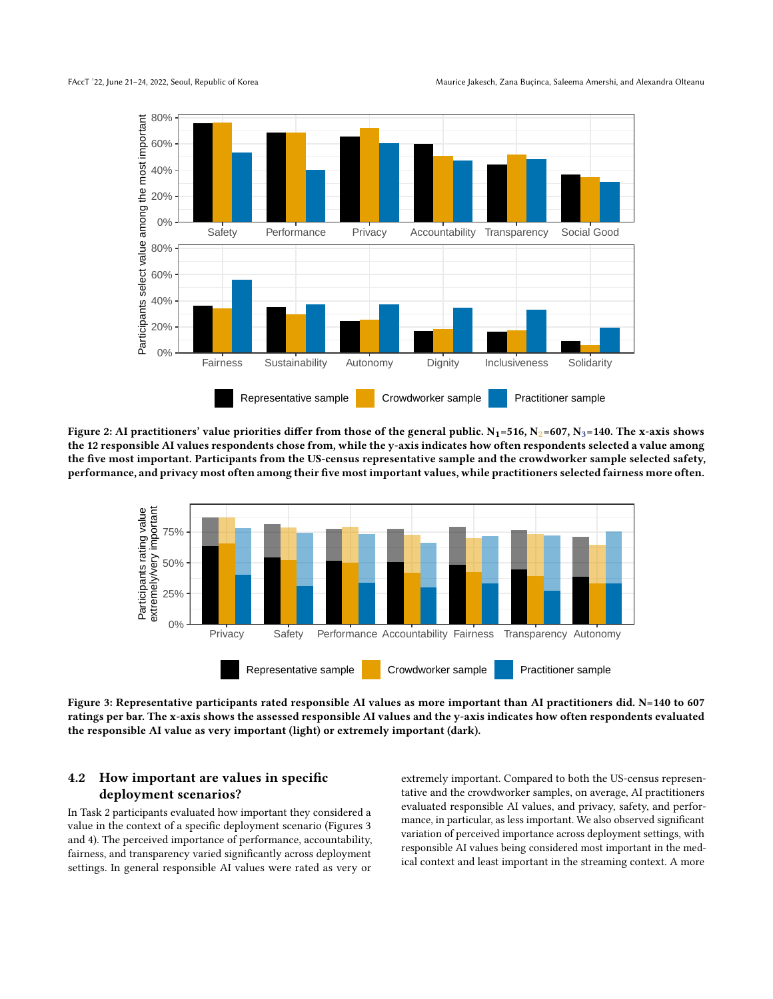<span id="page-5-0"></span>

Figure 2: AI practitioners' value priorities differ from those of the general public.  $N_1=516$ ,  $N_2=607$ ,  $N_3=140$ . The x-axis shows the 12 responsible AI values respondents chose from, while the y-axis indicates how often respondents selected a value among the five most important. Participants from the US-census representative sample and the crowdworker sample selected safety, performance, and privacy most often among their five most important values, while practitioners selected fairness more often.

<span id="page-5-1"></span>

Figure 3: Representative participants rated responsible AI values as more important than AI practitioners did. N=140 to 607 ratings per bar. The x-axis shows the assessed responsible AI values and the y-axis indicates how often respondents evaluated the responsible AI value as very important (light) or extremely important (dark).

## 4.2 How important are values in specific deployment scenarios?

In Task 2 participants evaluated how important they considered a value in the context of a specific deployment scenario (Figures [3](#page-5-1) and [4\)](#page-6-0). The perceived importance of performance, accountability, fairness, and transparency varied significantly across deployment settings. In general responsible AI values were rated as very or

extremely important. Compared to both the US-census representative and the crowdworker samples, on average, AI practitioners evaluated responsible AI values, and privacy, safety, and performance, in particular, as less important. We also observed significant variation of perceived importance across deployment settings, with responsible AI values being considered most important in the medical context and least important in the streaming context. A more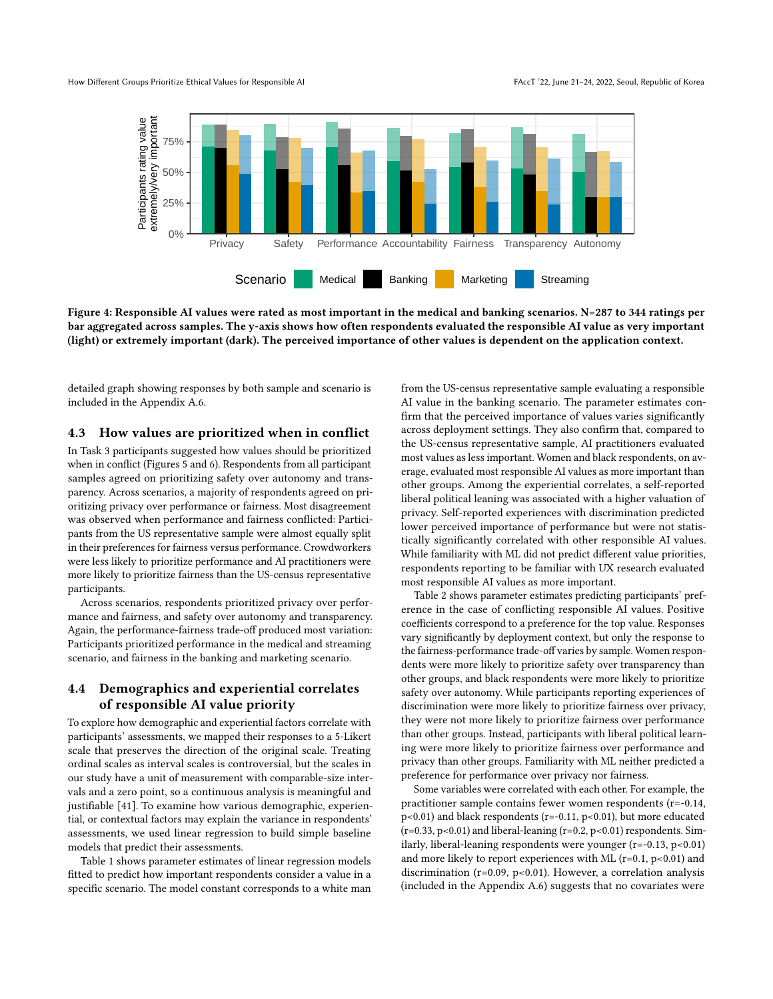<span id="page-6-0"></span>

Figure 4: Responsible AI values were rated as most important in the medical and banking scenarios. N=287 to 344 ratings per bar aggregated across samples. The y-axis shows how often respondents evaluated the responsible AI value as very important (light) or extremely important (dark). The perceived importance of other values is dependent on the application context.

detailed graph showing responses by both sample and scenario is included in the Appendix [A.6.](#page-12-1)

#### 4.3 How values are prioritized when in conflict

In Task 3 participants suggested how values should be prioritized when in conflict (Figures [5](#page-7-0) and [6\)](#page-7-1). Respondents from all participant samples agreed on prioritizing safety over autonomy and transparency. Across scenarios, a majority of respondents agreed on prioritizing privacy over performance or fairness. Most disagreement was observed when performance and fairness conflicted: Participants from the US representative sample were almost equally split in their preferences for fairness versus performance. Crowdworkers were less likely to prioritize performance and AI practitioners were more likely to prioritize fairness than the US-census representative participants.

Across scenarios, respondents prioritized privacy over performance and fairness, and safety over autonomy and transparency. Again, the performance-fairness trade-off produced most variation: Participants prioritized performance in the medical and streaming scenario, and fairness in the banking and marketing scenario.

## 4.4 Demographics and experiential correlates of responsible AI value priority

To explore how demographic and experiential factors correlate with participants' assessments, we mapped their responses to a 5-Likert scale that preserves the direction of the original scale. Treating ordinal scales as interval scales is controversial, but the scales in our study have a unit of measurement with comparable-size intervals and a zero point, so a continuous analysis is meaningful and justifiable [\[41\]](#page-10-35). To examine how various demographic, experiential, or contextual factors may explain the variance in respondents' assessments, we used linear regression to build simple baseline models that predict their assessments.

Table [1](#page-8-0) shows parameter estimates of linear regression models fitted to predict how important respondents consider a value in a specific scenario. The model constant corresponds to a white man from the US-census representative sample evaluating a responsible AI value in the banking scenario. The parameter estimates confirm that the perceived importance of values varies significantly across deployment settings. They also confirm that, compared to the US-census representative sample, AI practitioners evaluated most values as less important. Women and black respondents, on average, evaluated most responsible AI values as more important than other groups. Among the experiential correlates, a self-reported liberal political leaning was associated with a higher valuation of privacy. Self-reported experiences with discrimination predicted lower perceived importance of performance but were not statistically significantly correlated with other responsible AI values. While familiarity with ML did not predict different value priorities, respondents reporting to be familiar with UX research evaluated most responsible AI values as more important.

Table [2](#page-9-0) shows parameter estimates predicting participants' preference in the case of conflicting responsible AI values. Positive coefficients correspond to a preference for the top value. Responses vary significantly by deployment context, but only the response to the fairness-performance trade-off varies by sample. Women respondents were more likely to prioritize safety over transparency than other groups, and black respondents were more likely to prioritize safety over autonomy. While participants reporting experiences of discrimination were more likely to prioritize fairness over privacy, they were not more likely to prioritize fairness over performance than other groups. Instead, participants with liberal political learning were more likely to prioritize fairness over performance and privacy than other groups. Familiarity with ML neither predicted a preference for performance over privacy nor fairness.

Some variables were correlated with each other. For example, the practitioner sample contains fewer women respondents (r=-0.14,  $p<0.01$ ) and black respondents (r=-0.11,  $p<0.01$ ), but more educated  $(r=0.33, p<0.01)$  and liberal-leaning  $(r=0.2, p<0.01)$  respondents. Similarly, liberal-leaning respondents were younger (r=-0.13, p<0.01) and more likely to report experiences with ML ( $r=0.1$ ,  $p<0.01$ ) and discrimination ( $r=0.09$ ,  $p<0.01$ ). However, a correlation analysis (included in the Appendix [A.6\)](#page-12-2) suggests that no covariates were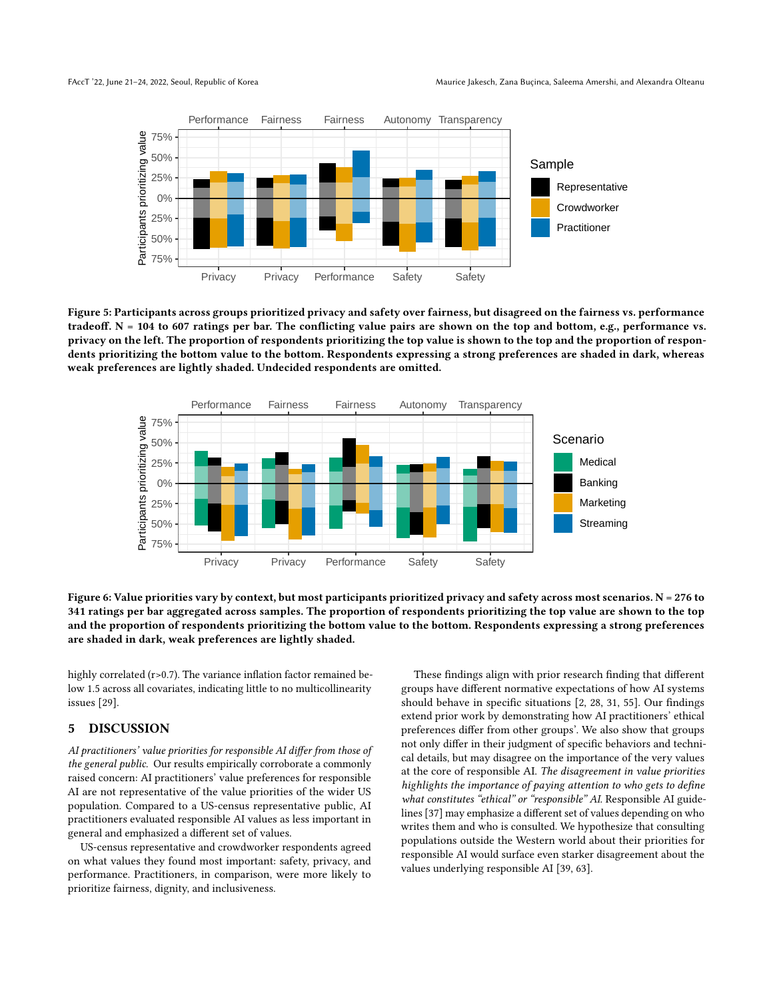<span id="page-7-0"></span>

Figure 5: Participants across groups prioritized privacy and safety over fairness, but disagreed on the fairness vs. performance tradeoff.  $N = 104$  to 607 ratings per bar. The conflicting value pairs are shown on the top and bottom, e.g., performance vs. privacy on the left. The proportion of respondents prioritizing the top value is shown to the top and the proportion of respondents prioritizing the bottom value to the bottom. Respondents expressing a strong preferences are shaded in dark, whereas weak preferences are lightly shaded. Undecided respondents are omitted.

<span id="page-7-1"></span>

Figure 6: Value priorities vary by context, but most participants prioritized privacy and safety across most scenarios. N = 276 to 341 ratings per bar aggregated across samples. The proportion of respondents prioritizing the top value are shown to the top and the proportion of respondents prioritizing the bottom value to the bottom. Respondents expressing a strong preferences are shaded in dark, weak preferences are lightly shaded.

highly correlated (r>0.7). The variance inflation factor remained below 1.5 across all covariates, indicating little to no multicollinearity issues [\[29\]](#page-10-36).

### 5 DISCUSSION

AI practitioners' value priorities for responsible AI differ from those of the general public. Our results empirically corroborate a commonly raised concern: AI practitioners' value preferences for responsible AI are not representative of the value priorities of the wider US population. Compared to a US-census representative public, AI practitioners evaluated responsible AI values as less important in general and emphasized a different set of values.

US-census representative and crowdworker respondents agreed on what values they found most important: safety, privacy, and performance. Practitioners, in comparison, were more likely to prioritize fairness, dignity, and inclusiveness.

These findings align with prior research finding that different groups have different normative expectations of how AI systems should behave in specific situations [\[2,](#page-10-0) [28,](#page-10-17) [31,](#page-10-16) [55\]](#page-11-13). Our findings extend prior work by demonstrating how AI practitioners' ethical preferences differ from other groups'. We also show that groups not only differ in their judgment of specific behaviors and technical details, but may disagree on the importance of the very values at the core of responsible AI. The disagreement in value priorities highlights the importance of paying attention to who gets to define what constitutes "ethical" or "responsible" AI. Responsible AI guidelines [\[37\]](#page-10-6) may emphasize a different set of values depending on who writes them and who is consulted. We hypothesize that consulting populations outside the Western world about their priorities for responsible AI would surface even starker disagreement about the values underlying responsible AI [\[39,](#page-10-37) [63\]](#page-11-5).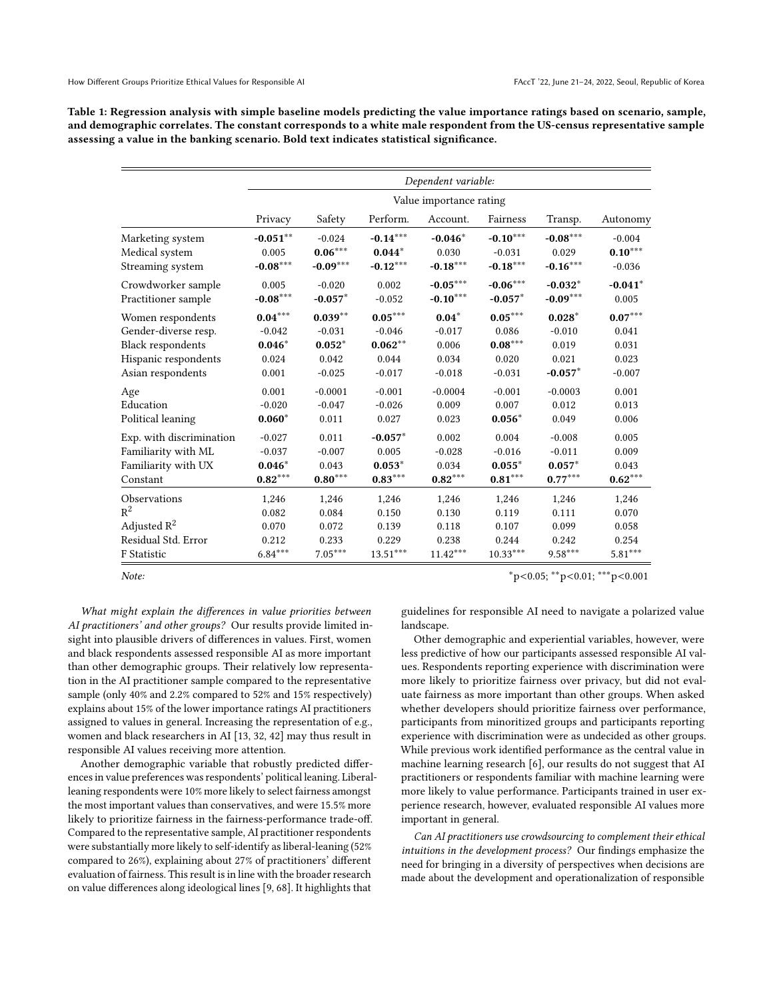<span id="page-8-0"></span>Table 1: Regression analysis with simple baseline models predicting the value importance ratings based on scenario, sample, and demographic correlates. The constant corresponds to a white male respondent from the US-census representative sample assessing a value in the banking scenario. Bold text indicates statistical significance.

|                                           | Dependent variable:  |                       |                        |                          |                         |                         |                       |  |  |
|-------------------------------------------|----------------------|-----------------------|------------------------|--------------------------|-------------------------|-------------------------|-----------------------|--|--|
|                                           |                      |                       |                        | Value importance rating  |                         |                         |                       |  |  |
|                                           | Privacy              | Safety                | Perform.               | Account.                 | Fairness                | Transp.                 | Autonomy              |  |  |
| Marketing system<br>Medical system        | $-0.051***$<br>0.005 | $-0.024$<br>$0.06***$ | $-0.14***$<br>$0.044*$ | $-0.046*$<br>0.030       | $-0.10***$<br>$-0.031$  | $-0.08***$<br>0.029     | $-0.004$<br>$0.10***$ |  |  |
| Streaming system                          | $-0.08***$           | $-0.09***$            | $-0.12***$             | $-0.18***$               | $-0.18***$              | $-0.16***$              | $-0.036$              |  |  |
| Crowdworker sample<br>Practitioner sample | 0.005<br>$-0.08***$  | $-0.020$<br>$-0.057*$ | 0.002<br>$-0.052$      | $-0.05***$<br>$-0.10***$ | $-0.06***$<br>$-0.057*$ | $-0.032*$<br>$-0.09***$ | $-0.041*$<br>0.005    |  |  |
| Women respondents                         | $0.04***$            | $0.039**$             | $0.05***$              | $0.04*$                  | $0.05***$               | $0.028*$                | $0.07***$             |  |  |
| Gender-diverse resp.                      | $-0.042$             | $-0.031$              | $-0.046$               | $-0.017$                 | 0.086                   | $-0.010$                | 0.041                 |  |  |
| <b>Black respondents</b>                  | $0.046*$             | $0.052*$              | $0.062**$              | 0.006                    | $0.08***$               | 0.019                   | 0.031                 |  |  |
| Hispanic respondents                      | 0.024                | 0.042                 | 0.044                  | 0.034                    | 0.020                   | 0.021                   | 0.023                 |  |  |
| Asian respondents                         | 0.001                | $-0.025$              | $-0.017$               | $-0.018$                 | $-0.031$                | $-0.057*$               | $-0.007$              |  |  |
| Age                                       | 0.001                | $-0.0001$             | $-0.001$               | $-0.0004$                | $-0.001$                | $-0.0003$               | 0.001                 |  |  |
| Education                                 | $-0.020$             | $-0.047$              | $-0.026$               | 0.009                    | 0.007                   | 0.012                   | 0.013                 |  |  |
| Political leaning                         | $0.060*$             | 0.011                 | 0.027                  | 0.023                    | $0.056*$                | 0.049                   | 0.006                 |  |  |
| Exp. with discrimination                  | $-0.027$             | 0.011                 | $-0.057*$              | 0.002                    | 0.004                   | $-0.008$                | 0.005                 |  |  |
| Familiarity with ML                       | $-0.037$             | $-0.007$              | 0.005                  | $-0.028$                 | $-0.016$                | $-0.011$                | 0.009                 |  |  |
| Familiarity with UX                       | $0.046*$             | 0.043                 | $0.053*$               | 0.034                    | $0.055*$                | $0.057*$                | 0.043                 |  |  |
| Constant                                  | $0.82***$            | $0.80***$             | $0.83***$              | $0.82***$                | $0.81***$               | $0.77***$               | $\mathbf{0.62}^{***}$ |  |  |
| Observations                              | 1,246                | 1,246                 | 1,246                  | 1,246                    | 1,246                   | 1,246                   | 1,246                 |  |  |
| $\mathbb{R}^2$                            | 0.082                | 0.084                 | 0.150                  | 0.130                    | 0.119                   | 0.111                   | 0.070                 |  |  |
| Adjusted $R^2$                            | 0.070                | 0.072                 | 0.139                  | 0.118                    | 0.107                   | 0.099                   | 0.058                 |  |  |
| Residual Std. Error                       | 0.212                | 0.233                 | 0.229                  | 0.238                    | 0.244                   | 0.242                   | 0.254                 |  |  |
| F Statistic                               | $6.84***$            | $7.05***$             | $13.51***$             | $11.42***$               | $10.33***$              | $9.58***$               | $5.81***$             |  |  |

Note: ∗<sup>\*</sup>p<0.05; <sup>\*\*</sup>p<0.01; <sup>\*\*\*</sup>p<0.001

What might explain the differences in value priorities between AI practitioners' and other groups? Our results provide limited insight into plausible drivers of differences in values. First, women and black respondents assessed responsible AI as more important than other demographic groups. Their relatively low representation in the AI practitioner sample compared to the representative sample (only 40% and 2.2% compared to 52% and 15% respectively) explains about 15% of the lower importance ratings AI practitioners assigned to values in general. Increasing the representation of e.g., women and black researchers in AI [\[13,](#page-10-9) [32,](#page-10-10) [42\]](#page-11-2) may thus result in responsible AI values receiving more attention.

Another demographic variable that robustly predicted differences in value preferences was respondents' political leaning. Liberalleaning respondents were 10% more likely to select fairness amongst the most important values than conservatives, and were 15.5% more likely to prioritize fairness in the fairness-performance trade-off. Compared to the representative sample, AI practitioner respondents were substantially more likely to self-identify as liberal-leaning (52% compared to 26%), explaining about 27% of practitioners' different evaluation of fairness. This result is in line with the broader research on value differences along ideological lines [\[9,](#page-10-38) [68\]](#page-11-30). It highlights that

guidelines for responsible AI need to navigate a polarized value landscape.

Other demographic and experiential variables, however, were less predictive of how our participants assessed responsible AI values. Respondents reporting experience with discrimination were more likely to prioritize fairness over privacy, but did not evaluate fairness as more important than other groups. When asked whether developers should prioritize fairness over performance, participants from minoritized groups and participants reporting experience with discrimination were as undecided as other groups. While previous work identified performance as the central value in machine learning research [\[6\]](#page-10-13), our results do not suggest that AI practitioners or respondents familiar with machine learning were more likely to value performance. Participants trained in user experience research, however, evaluated responsible AI values more important in general.

Can AI practitioners use crowdsourcing to complement their ethical intuitions in the development process? Our findings emphasize the need for bringing in a diversity of perspectives when decisions are made about the development and operationalization of responsible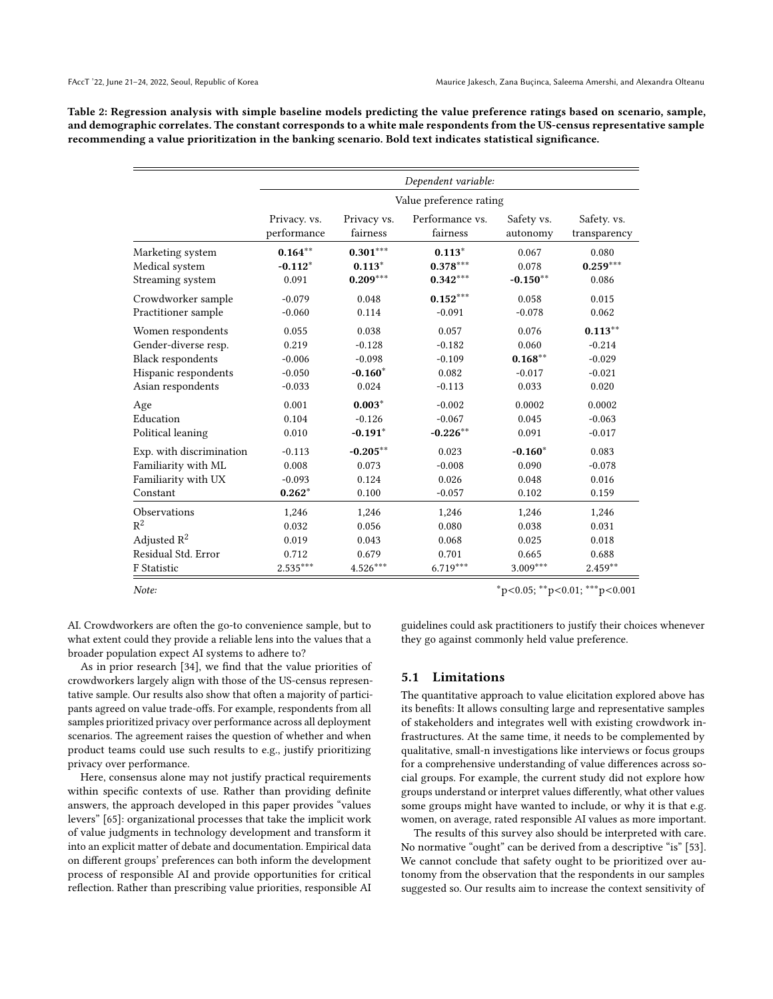<span id="page-9-0"></span>Table 2: Regression analysis with simple baseline models predicting the value preference ratings based on scenario, sample, and demographic correlates. The constant corresponds to a white male respondents from the US-census representative sample recommending a value prioritization in the banking scenario. Bold text indicates statistical significance.

|                          | Dependent variable: |                         |                 |            |              |  |  |  |  |  |  |
|--------------------------|---------------------|-------------------------|-----------------|------------|--------------|--|--|--|--|--|--|
|                          |                     | Value preference rating |                 |            |              |  |  |  |  |  |  |
|                          | Privacy. vs.        | Privacy vs.             | Performance vs. | Safety vs. | Safety. vs.  |  |  |  |  |  |  |
|                          | performance         | fairness                | fairness        | autonomy   | transparency |  |  |  |  |  |  |
| Marketing system         | $0.164***$          | $0.301***$              | $0.113*$        | 0.067      | 0.080        |  |  |  |  |  |  |
| Medical system           | $-0.112*$           | $0.113*$                | $0.378***$      | 0.078      | $0.259***$   |  |  |  |  |  |  |
| Streaming system         | 0.091               | $0.209***$              | $0.342***$      | $-0.150**$ | 0.086        |  |  |  |  |  |  |
| Crowdworker sample       | $-0.079$            | 0.048                   | $0.152***$      | 0.058      | 0.015        |  |  |  |  |  |  |
| Practitioner sample      | $-0.060$            | 0.114                   | $-0.091$        | $-0.078$   | 0.062        |  |  |  |  |  |  |
| Women respondents        | 0.055               | 0.038                   | 0.057           | 0.076      | $0.113***$   |  |  |  |  |  |  |
| Gender-diverse resp.     | 0.219               | $-0.128$                | $-0.182$        | 0.060      | $-0.214$     |  |  |  |  |  |  |
| <b>Black respondents</b> | $-0.006$            | $-0.098$                | $-0.109$        | $0.168***$ | $-0.029$     |  |  |  |  |  |  |
| Hispanic respondents     | $-0.050$            | $-0.160*$               | 0.082           | $-0.017$   | $-0.021$     |  |  |  |  |  |  |
| Asian respondents        | $-0.033$            | 0.024                   | $-0.113$        | 0.033      | 0.020        |  |  |  |  |  |  |
| Age                      | 0.001               | $0.003*$                | $-0.002$        | 0.0002     | 0.0002       |  |  |  |  |  |  |
| Education                | 0.104               | $-0.126$                | $-0.067$        | 0.045      | $-0.063$     |  |  |  |  |  |  |
| Political leaning        | 0.010               | $-0.191*$               | $-0.226***$     | 0.091      | $-0.017$     |  |  |  |  |  |  |
| Exp. with discrimination | $-0.113$            | $-0.205***$             | 0.023           | $-0.160*$  | 0.083        |  |  |  |  |  |  |
| Familiarity with ML      | 0.008               | 0.073                   | $-0.008$        | 0.090      | $-0.078$     |  |  |  |  |  |  |
| Familiarity with UX      | $-0.093$            | 0.124                   | 0.026           | 0.048      | 0.016        |  |  |  |  |  |  |
| Constant                 | $0.262*$            | 0.100                   | $-0.057$        | 0.102      | 0.159        |  |  |  |  |  |  |
| Observations             | 1,246               | 1,246                   | 1,246           | 1,246      | 1,246        |  |  |  |  |  |  |
| $R^2$                    | 0.032               | 0.056                   | 0.080           | 0.038      | 0.031        |  |  |  |  |  |  |
| Adjusted $R^2$           | 0.019               | 0.043                   | 0.068           | 0.025      | 0.018        |  |  |  |  |  |  |
| Residual Std. Error      | 0.712               | 0.679                   | 0.701           | 0.665      | 0.688        |  |  |  |  |  |  |
| F Statistic              | $2.535***$          | $4.526***$              | $6.719***$      | $3.009***$ | $2.459**$    |  |  |  |  |  |  |

Note: \*p<0.05; \*\*p<0.01; \*\*\*p<0.001

AI. Crowdworkers are often the go-to convenience sample, but to what extent could they provide a reliable lens into the values that a broader population expect AI systems to adhere to?

As in prior research [\[34\]](#page-10-39), we find that the value priorities of crowdworkers largely align with those of the US-census representative sample. Our results also show that often a majority of participants agreed on value trade-offs. For example, respondents from all samples prioritized privacy over performance across all deployment scenarios. The agreement raises the question of whether and when product teams could use such results to e.g., justify prioritizing privacy over performance.

Here, consensus alone may not justify practical requirements within specific contexts of use. Rather than providing definite answers, the approach developed in this paper provides "values levers" [\[65\]](#page-11-31): organizational processes that take the implicit work of value judgments in technology development and transform it into an explicit matter of debate and documentation. Empirical data on different groups' preferences can both inform the development process of responsible AI and provide opportunities for critical reflection. Rather than prescribing value priorities, responsible AI guidelines could ask practitioners to justify their choices whenever they go against commonly held value preference.

### 5.1 Limitations

The quantitative approach to value elicitation explored above has its benefits: It allows consulting large and representative samples of stakeholders and integrates well with existing crowdwork infrastructures. At the same time, it needs to be complemented by qualitative, small-n investigations like interviews or focus groups for a comprehensive understanding of value differences across social groups. For example, the current study did not explore how groups understand or interpret values differently, what other values some groups might have wanted to include, or why it is that e.g. women, on average, rated responsible AI values as more important.

The results of this survey also should be interpreted with care. No normative "ought" can be derived from a descriptive "is" [\[53\]](#page-11-4). We cannot conclude that safety ought to be prioritized over autonomy from the observation that the respondents in our samples suggested so. Our results aim to increase the context sensitivity of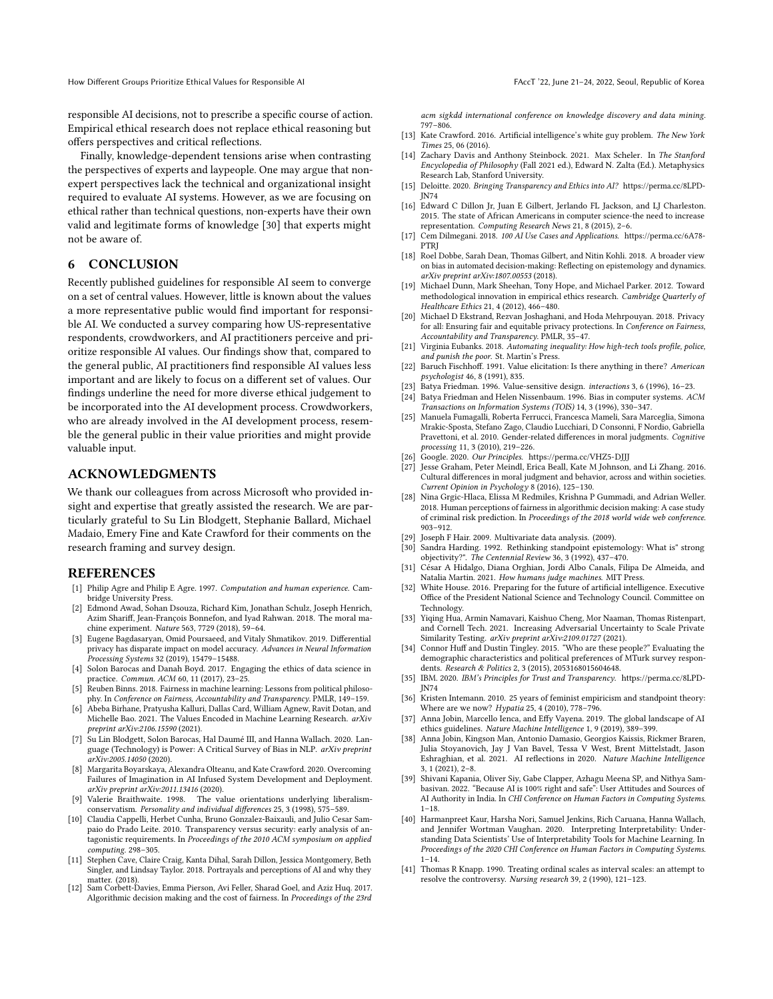responsible AI decisions, not to prescribe a specific course of action. Empirical ethical research does not replace ethical reasoning but offers perspectives and critical reflections.

Finally, knowledge-dependent tensions arise when contrasting the perspectives of experts and laypeople. One may argue that nonexpert perspectives lack the technical and organizational insight required to evaluate AI systems. However, as we are focusing on ethical rather than technical questions, non-experts have their own valid and legitimate forms of knowledge [\[30\]](#page-10-40) that experts might not be aware of.

## 6 CONCLUSION

Recently published guidelines for responsible AI seem to converge on a set of central values. However, little is known about the values a more representative public would find important for responsible AI. We conducted a survey comparing how US-representative respondents, crowdworkers, and AI practitioners perceive and prioritize responsible AI values. Our findings show that, compared to the general public, AI practitioners find responsible AI values less important and are likely to focus on a different set of values. Our findings underline the need for more diverse ethical judgement to be incorporated into the AI development process. Crowdworkers, who are already involved in the AI development process, resemble the general public in their value priorities and might provide valuable input.

### ACKNOWLEDGMENTS

We thank our colleagues from across Microsoft who provided insight and expertise that greatly assisted the research. We are particularly grateful to Su Lin Blodgett, Stephanie Ballard, Michael Madaio, Emery Fine and Kate Crawford for their comments on the research framing and survey design.

#### REFERENCES

- <span id="page-10-4"></span>[1] Philip Agre and Philip E Agre. 1997. Computation and human experience. Cambridge University Press.
- <span id="page-10-0"></span>[2] Edmond Awad, Sohan Dsouza, Richard Kim, Jonathan Schulz, Joseph Henrich, Azim Shariff, Jean-François Bonnefon, and Iyad Rahwan. 2018. The moral machine experiment. Nature 563, 7729 (2018), 59–64.
- <span id="page-10-29"></span>[3] Eugene Bagdasaryan, Omid Poursaeed, and Vitaly Shmatikov. 2019. Differential privacy has disparate impact on model accuracy. Advances in Neural Information Processing Systems 32 (2019), 15479–15488.
- <span id="page-10-28"></span>[4] Solon Barocas and Danah Boyd. 2017. Engaging the ethics of data science in practice. Commun. ACM 60, 11 (2017), 23–25.
- <span id="page-10-15"></span>[5] Reuben Binns. 2018. Fairness in machine learning: Lessons from political philosophy. In Conference on Fairness, Accountability and Transparency. PMLR, 149–159.
- <span id="page-10-13"></span>[6] Abeba Birhane, Pratyusha Kalluri, Dallas Card, William Agnew, Ravit Dotan, and Michelle Bao. 2021. The Values Encoded in Machine Learning Research. arXiv preprint arXiv:2106.15590 (2021).
- <span id="page-10-1"></span>[7] Su Lin Blodgett, Solon Barocas, Hal Daumé III, and Hanna Wallach. 2020. Language (Technology) is Power: A Critical Survey of Bias in NLP. arXiv preprint arXiv:2005.14050 (2020).
- <span id="page-10-3"></span>[8] Margarita Boyarskaya, Alexandra Olteanu, and Kate Crawford. 2020. Overcoming Failures of Imagination in AI Infused System Development and Deployment. arXiv preprint arXiv:2011.13416 (2020).
- <span id="page-10-38"></span>[9] Valerie Braithwaite. 1998. The value orientations underlying liberalismconservatism. Personality and individual differences 25, 3 (1998), 575–589.
- <span id="page-10-32"></span>[10] Claudia Cappelli, Herbet Cunha, Bruno Gonzalez-Baixauli, and Julio Cesar Sampaio do Prado Leite. 2010. Transparency versus security: early analysis of antagonistic requirements. In Proceedings of the 2010 ACM symposium on applied computing. 298-305.
- <span id="page-10-24"></span>[11] Stephen Cave, Claire Craig, Kanta Dihal, Sarah Dillon, Jessica Montgomery, Beth Singler, and Lindsay Taylor. 2018. Portrayals and perceptions of AI and why they matter. (2018).
- <span id="page-10-31"></span>[12] Sam Corbett-Davies, Emma Pierson, Avi Feller, Sharad Goel, and Aziz Huq. 2017. Algorithmic decision making and the cost of fairness. In Proceedings of the 23rd

acm sigkdd international conference on knowledge discovery and data mining. 797–806.

- <span id="page-10-9"></span>[13] Kate Crawford. 2016. Artificial intelligence's white guy problem. The New York Times 25, 06 (2016).
- <span id="page-10-7"></span>[14] Zachary Davis and Anthony Steinbock. 2021. Max Scheler. In The Stanford Encyclopedia of Philosophy (Fall 2021 ed.), Edward N. Zalta (Ed.). Metaphysics Research Lab, Stanford University.
- <span id="page-10-26"></span>[15] Deloitte. 2020. Bringing Transparency and Ethics into AI? [https://perma.cc/8LPD-](https://perma.cc/8LPD-JN74)[JN74](https://perma.cc/8LPD-JN74)
- <span id="page-10-21"></span>[16] Edward C Dillon Jr, Juan E Gilbert, Jerlando FL Jackson, and LJ Charleston. 2015. The state of African Americans in computer science-the need to increase representation. Computing Research News 21, 8 (2015), 2–6.
- <span id="page-10-34"></span>[17] Cem Dilmegani. 2018. 100 AI Use Cases and Applications. [https://perma.cc/6A78-](https://perma.cc/6A78-PTRJ) [PTRJ](https://perma.cc/6A78-PTRJ)
- <span id="page-10-18"></span>[18] Roel Dobbe, Sarah Dean, Thomas Gilbert, and Nitin Kohli. 2018. A broader view on bias in automated decision-making: Reflecting on epistemology and dynamics. arXiv preprint arXiv:1807.00553 (2018).
- <span id="page-10-11"></span>[19] Michael Dunn, Mark Sheehan, Tony Hope, and Michael Parker. 2012. Toward methodological innovation in empirical ethics research. Cambridge Quarterly of Healthcare Ethics 21, 4 (2012), 466–480.
- <span id="page-10-30"></span>[20] Michael D Ekstrand, Rezvan Joshaghani, and Hoda Mehrpouyan. 2018. Privacy for all: Ensuring fair and equitable privacy protections. In Conference on Fairness, Accountability and Transparency. PMLR, 35–47.
- <span id="page-10-2"></span>[21] Virginia Eubanks. 2018. Automating inequality: How high-tech tools profile, police, and punish the poor. St. Martin's Press.
- <span id="page-10-12"></span>[22] Baruch Fischhoff. 1991. Value elicitation: Is there anything in there? American psychologist 46, 8 (1991), 835.
- <span id="page-10-5"></span>[23] Batya Friedman. 1996. Value-sensitive design. *interactions* 3, 6 (1996), 16–23.<br>[24] Batya Friedman and Helen Nissenbaum. 1996. Bias in computer systems. *A*G
- <span id="page-10-14"></span>Batya Friedman and Helen Nissenbaum. 1996. Bias in computer systems. ACM Transactions on Information Systems (TOIS) 14, 3 (1996), 330–347.
- <span id="page-10-19"></span>[25] Manuela Fumagalli, Roberta Ferrucci, Francesca Mameli, Sara Marceglia, Simona Mrakic-Sposta, Stefano Zago, Claudio Lucchiari, D Consonni, F Nordio, Gabriella Pravettoni, et al. 2010. Gender-related differences in moral judgments. Cognitive processing 11, 3 (2010), 219–226.
- <span id="page-10-25"></span>[26] Google. 2020. Our Principles.<https://perma.cc/VHZ5-DJJJ>
- <span id="page-10-20"></span>[27] Jesse Graham, Peter Meindl, Erica Beall, Kate M Johnson, and Li Zhang, 2016. Cultural differences in moral judgment and behavior, across and within societies. Current Opinion in Psychology 8 (2016), 125–130.
- <span id="page-10-17"></span>[28] Nina Grgic-Hlaca, Elissa M Redmiles, Krishna P Gummadi, and Adrian Weller. 2018. Human perceptions of fairness in algorithmic decision making: A case study of criminal risk prediction. In Proceedings of the 2018 world wide web conference. 903–912.
- <span id="page-10-36"></span>[29] Joseph F Hair. 2009. Multivariate data analysis. (2009).
- <span id="page-10-40"></span>[30] Sandra Harding. 1992. Rethinking standpoint epistemology: What is" strong objectivity?". The Centennial Review 36, 3 (1992), 437–470.
- <span id="page-10-16"></span>[31] César A Hidalgo, Diana Orghian, Jordi Albo Canals, Filipa De Almeida, and Natalia Martin. 2021. How humans judge machines. MIT Press.
- <span id="page-10-10"></span>[32] White House. 2016. Preparing for the future of artificial intelligence. Executive Office of the President National Science and Technology Council. Committee on Technology.
- <span id="page-10-33"></span>[33] Yiqing Hua, Armin Namavari, Kaishuo Cheng, Mor Naaman, Thomas Ristenpart, and Cornell Tech. 2021. Increasing Adversarial Uncertainty to Scale Private Similarity Testing. arXiv preprint arXiv:2109.01727 (2021).
- <span id="page-10-39"></span>[34] Connor Huff and Dustin Tingley. 2015. "Who are these people?" Evaluating the demographic characteristics and political preferences of MTurk survey respondents. Research & Politics 2, 3 (2015), 2053168015604648.
- <span id="page-10-27"></span>[35] IBM. 2020. IBM's Principles for Trust and Transparency. [https://perma.cc/8LPD-](https://perma.cc/8LPD-JN74)[JN74](https://perma.cc/8LPD-JN74)
- <span id="page-10-8"></span>[36] Kristen Intemann. 2010. 25 years of feminist empiricism and standpoint theory: Where are we now? Hypatia 25, 4 (2010), 778–796.
- <span id="page-10-6"></span>[37] Anna Jobin, Marcello Ienca, and Effy Vayena. 2019. The global landscape of AI ethics guidelines. Nature Machine Intelligence 1, 9 (2019), 389–399.
- <span id="page-10-23"></span>[38] Anna Jobin, Kingson Man, Antonio Damasio, Georgios Kaissis, Rickmer Braren, Julia Stoyanovich, Jay J Van Bavel, Tessa V West, Brent Mittelstadt, Jason Eshraghian, et al. 2021. AI reflections in 2020. Nature Machine Intelligence 3, 1 (2021), 2–8.
- <span id="page-10-37"></span>[39] Shivani Kapania, Oliver Siy, Gabe Clapper, Azhagu Meena SP, and Nithya Sambasivan. 2022. "Because AI is 100% right and safe": User Attitudes and Sources of AI Authority in India. In CHI Conference on Human Factors in Computing Systems. 1–18.
- <span id="page-10-22"></span>[40] Harmanpreet Kaur, Harsha Nori, Samuel Jenkins, Rich Caruana, Hanna Wallach, and Jennifer Wortman Vaughan. 2020. Interpreting Interpretability: Understanding Data Scientists' Use of Interpretability Tools for Machine Learning. In Proceedings of the 2020 CHI Conference on Human Factors in Computing Systems.  $1 - 14.$
- <span id="page-10-35"></span>[41] Thomas R Knapp. 1990. Treating ordinal scales as interval scales: an attempt to resolve the controversy. Nursing research 39, 2 (1990), 121–123.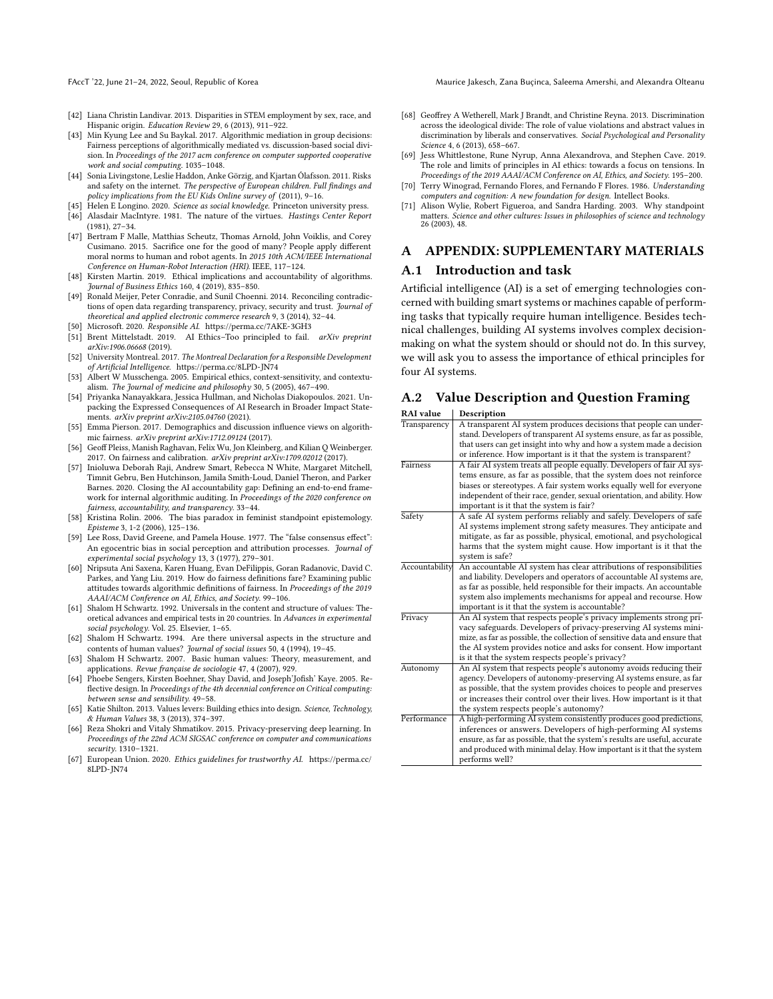FAccT '22, June 21-24, 2022, Seoul, Republic of Korea Maurice Jakesch, Zana Buçinca, Saleema Amershi, and Alexandra Olteanu

- <span id="page-11-2"></span>[42] Liana Christin Landivar. 2013. Disparities in STEM employment by sex, race, and Hispanic origin. Education Review 29, 6 (2013), 911–922.
- <span id="page-11-19"></span>[43] Min Kyung Lee and Su Baykal. 2017. Algorithmic mediation in group decisions: Fairness perceptions of algorithmically mediated vs. discussion-based social division. In Proceedings of the 2017 acm conference on computer supported cooperative work and social computing. 1035–1048.
- <span id="page-11-28"></span>[44] Sonia Livingstone, Leslie Haddon, Anke Görzig, and Kjartan Ólafsson. 2011. Risks and safety on the internet. The perspective of European children. Full findings and policy implications from the EU Kids Online survey of (2011), 9-16.
- <span id="page-11-18"></span><span id="page-11-16"></span>[45] Helen E Longino. 2020. Science as social knowledge. Princeton university press. [46] Alasdair MacIntyre. 1981. The nature of the virtues. Hastings Center Report (1981), 27–34.
- <span id="page-11-11"></span>[47] Bertram F Malle, Matthias Scheutz, Thomas Arnold, John Voiklis, and Corey Cusimano. 2015. Sacrifice one for the good of many? People apply different moral norms to human and robot agents. In 2015 10th ACM/IEEE International Conference on Human-Robot Interaction (HRI). IEEE, 117–124.
- <span id="page-11-3"></span>[48] Kirsten Martin. 2019. Ethical implications and accountability of algorithms. Journal of Business Ethics 160, 4 (2019), 835-850.
- <span id="page-11-27"></span>[49] Ronald Meijer, Peter Conradie, and Sunil Choenni. 2014. Reconciling contradictions of open data regarding transparency, privacy, security and trust. Journal of theoretical and applied electronic commerce research 9, 3 (2014), 32–44.
- <span id="page-11-22"></span>Microsoft. 2020. Responsible AI.<https://perma.cc/7AKE-3GH3>
- <span id="page-11-9"></span>[51] Brent Mittelstadt. 2019. AI Ethics–Too principled to fail. arXiv preprint arXiv:1906.06668 (2019).
- <span id="page-11-0"></span>[52] University Montreal. 2017. The Montreal Declaration for a Responsible Development of Artificial Intelligence.<https://perma.cc/8LPD-JN74>
- <span id="page-11-4"></span>[53] Albert W Musschenga. 2005. Empirical ethics, context-sensitivity, and contextualism. The Journal of medicine and philosophy 30, 5 (2005), 467–490.
- <span id="page-11-7"></span>[54] Priyanka Nanayakkara, Jessica Hullman, and Nicholas Diakopoulos. 2021. Unpacking the Expressed Consequences of AI Research in Broader Impact Statements.  $arXiv$  preprint  $arXiv:2105.04760$  (2021).
- <span id="page-11-13"></span>[55] Emma Pierson. 2017. Demographics and discussion influence views on algorithmic fairness. arXiv preprint arXiv:1712.09124 (2017).
- <span id="page-11-26"></span>[56] Geoff Pleiss, Manish Raghavan, Felix Wu, Jon Kleinberg, and Kilian Q Weinberger. 2017. On fairness and calibration. arXiv preprint arXiv:1709.02012 (2017).
- <span id="page-11-1"></span>[57] Inioluwa Deborah Raji, Andrew Smart, Rebecca N White, Margaret Mitchell, Timnit Gebru, Ben Hutchinson, Jamila Smith-Loud, Daniel Theron, and Parker Barnes. 2020. Closing the AI accountability gap: Defining an end-to-end framework for internal algorithmic auditing. In Proceedings of the 2020 conference on fairness, accountability, and transparency. 33–44.
- <span id="page-11-17"></span>[58] Kristina Rolin. 2006. The bias paradox in feminist standpoint epistemology. Episteme 3, 1-2 (2006), 125–136.
- <span id="page-11-15"></span>[59] Lee Ross, David Greene, and Pamela House. 1977. The "false consensus effect": An egocentric bias in social perception and attribution processes. Journal of experimental social psychology 13, 3 (1977), 279–301.
- <span id="page-11-12"></span>[60] Nripsuta Ani Saxena, Karen Huang, Evan DeFilippis, Goran Radanovic, David C. Parkes, and Yang Liu. 2019. How do fairness definitions fare? Examining public attitudes towards algorithmic definitions of fairness. In Proceedings of the 2019 AAAI/ACM Conference on AI, Ethics, and Society. 99–106.
- <span id="page-11-20"></span>[61] Shalom H Schwartz. 1992. Universals in the content and structure of values: Theoretical advances and empirical tests in 20 countries. In Advances in experimental social psychology. Vol. 25. Elsevier, 1–65.
- <span id="page-11-21"></span>[62] Shalom H Schwartz. 1994. Are there universal aspects in the structure and contents of human values? Journal of social issues 50, 4 (1994), 19–45.
- <span id="page-11-5"></span>[63] Shalom H Schwartz. 2007. Basic human values: Theory, measurement, and applications. Revue française de sociologie 47, 4 (2007), 929.
- <span id="page-11-8"></span>[64] Phoebe Sengers, Kirsten Boehner, Shay David, and Joseph'Jofish' Kaye. 2005. Reflective design. In Proceedings of the 4th decennial conference on Critical computing: between sense and sensibility. 49–58.
- <span id="page-11-31"></span>[65] Katie Shilton. 2013. Values levers: Building ethics into design. Science, Technology, & Human Values 38, 3 (2013), 374–397.
- <span id="page-11-25"></span>[66] Reza Shokri and Vitaly Shmatikov. 2015. Privacy-preserving deep learning. In Proceedings of the 22nd ACM SIGSAC conference on computer and communications security. 1310–1321.
- <span id="page-11-23"></span>[67] European Union. 2020. Ethics guidelines for trustworthy AI. [https://perma.cc/](https://perma.cc/8LPD-JN74) [8LPD-JN74](https://perma.cc/8LPD-JN74)
- <span id="page-11-30"></span>[68] Geoffrey A Wetherell, Mark J Brandt, and Christine Reyna. 2013. Discrimination across the ideological divide: The role of value violations and abstract values in discrimination by liberals and conservatives. Social Psychological and Personality Science 4, 6 (2013), 658–667.
- <span id="page-11-10"></span>[69] Jess Whittlestone, Rune Nyrup, Anna Alexandrova, and Stephen Cave. 2019. The role and limits of principles in AI ethics: towards a focus on tensions. In Proceedings of the 2019 AAAI/ACM Conference on AI, Ethics, and Society. 195–200.
- <span id="page-11-6"></span>[70] Terry Winograd, Fernando Flores, and Fernando F Flores. 1986. Understanding computers and cognition: A new foundation for design. Intellect Books.
- <span id="page-11-14"></span>[71] Alison Wylie, Robert Figueroa, and Sandra Harding. 2003. Why standpoint matters. Science and other cultures: Issues in philosophies of science and technology 26 (2003), 48.

### A APPENDIX: SUPPLEMENTARY MATERIALS

#### <span id="page-11-29"></span>A.1 Introduction and task

Artificial intelligence (AI) is a set of emerging technologies concerned with building smart systems or machines capable of performing tasks that typically require human intelligence. Besides technical challenges, building AI systems involves complex decisionmaking on what the system should or should not do. In this survey, we will ask you to assess the importance of ethical principles for four AI systems.

#### <span id="page-11-24"></span>A.2 Value Description and Question Framing

| Description                                                                                                                                                                                                   |
|---------------------------------------------------------------------------------------------------------------------------------------------------------------------------------------------------------------|
| A transparent AI system produces decisions that people can under-<br>stand. Developers of transparent AI systems ensure, as far as possible,                                                                  |
| that users can get insight into why and how a system made a decision                                                                                                                                          |
| or inference. How important is it that the system is transparent?                                                                                                                                             |
| A fair AI system treats all people equally. Developers of fair AI sys-                                                                                                                                        |
| tems ensure, as far as possible, that the system does not reinforce                                                                                                                                           |
| biases or stereotypes. A fair system works equally well for everyone                                                                                                                                          |
| independent of their race, gender, sexual orientation, and ability. How                                                                                                                                       |
| important is it that the system is fair?                                                                                                                                                                      |
| A safe AI system performs reliably and safely. Developers of safe<br>AI systems implement strong safety measures. They anticipate and<br>mitigate, as far as possible, physical, emotional, and psychological |
| harms that the system might cause. How important is it that the<br>system is safe?                                                                                                                            |
| An accountable AI system has clear attributions of responsibilities                                                                                                                                           |
| and liability. Developers and operators of accountable AI systems are,                                                                                                                                        |
| as far as possible, held responsible for their impacts. An accountable                                                                                                                                        |
| system also implements mechanisms for appeal and recourse. How                                                                                                                                                |
| important is it that the system is accountable?                                                                                                                                                               |
| An AI system that respects people's privacy implements strong pri-                                                                                                                                            |
| vacy safeguards. Developers of privacy-preserving AI systems mini-                                                                                                                                            |
| mize, as far as possible, the collection of sensitive data and ensure that                                                                                                                                    |
| the AI system provides notice and asks for consent. How important                                                                                                                                             |
| is it that the system respects people's privacy?                                                                                                                                                              |
| An AI system that respects people's autonomy avoids reducing their                                                                                                                                            |
| agency. Developers of autonomy-preserving AI systems ensure, as far                                                                                                                                           |
| as possible, that the system provides choices to people and preserves                                                                                                                                         |
| or increases their control over their lives. How important is it that                                                                                                                                         |
| the system respects people's autonomy?                                                                                                                                                                        |
| A high-performing AI system consistently produces good predictions,                                                                                                                                           |
| inferences or answers. Developers of high-performing AI systems                                                                                                                                               |
| ensure, as far as possible, that the system's results are useful, accurate                                                                                                                                    |
| and produced with minimal delay. How important is it that the system<br>performs well?                                                                                                                        |
|                                                                                                                                                                                                               |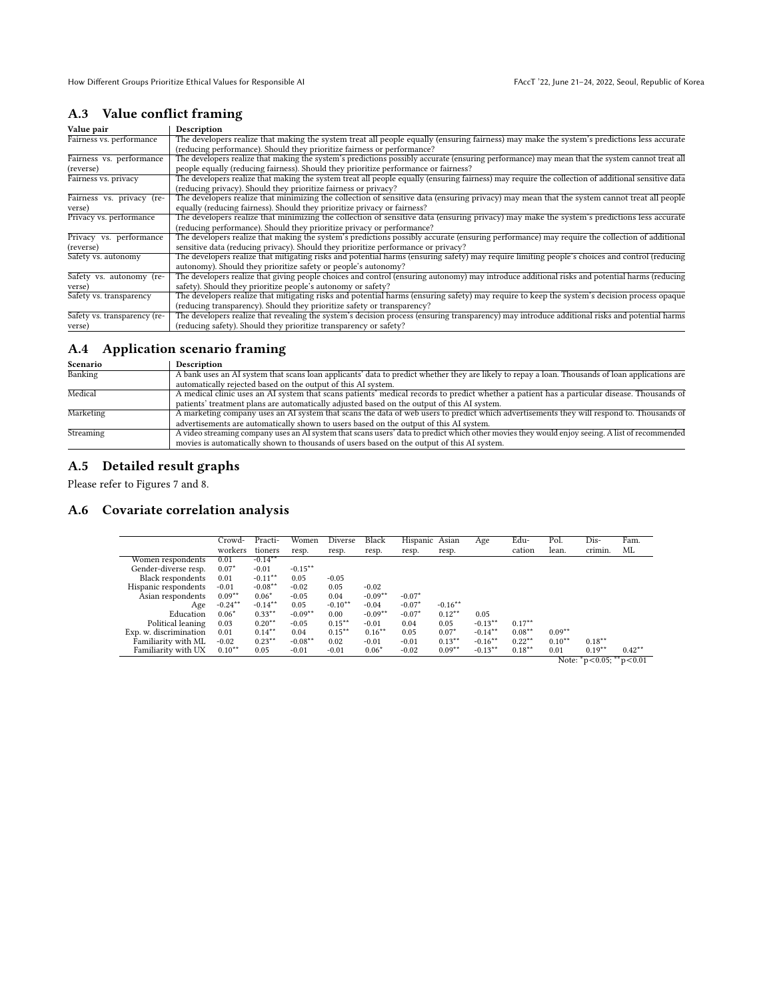## A.3 Value conflict framing

| Value pair                   | Description                                                                                                                                        |
|------------------------------|----------------------------------------------------------------------------------------------------------------------------------------------------|
| Fairness vs. performance     | The developers realize that making the system treat all people equally (ensuring fairness) may make the system's predictions less accurate         |
|                              | (reducing performance). Should they prioritize fairness or performance?                                                                            |
| Fairness vs. performance     | The developers realize that making the system's predictions possibly accurate (ensuring performance) may mean that the system cannot treat all     |
| (reverse)                    | people equally (reducing fairness). Should they prioritize performance or fairness?                                                                |
| Fairness vs. privacy         | The developers realize that making the system treat all people equally (ensuring fairness) may require the collection of additional sensitive data |
|                              | (reducing privacy). Should they prioritize fairness or privacy?                                                                                    |
| Fairness vs. privacy (re-    | The developers realize that minimizing the collection of sensitive data (ensuring privacy) may mean that the system cannot treat all people        |
| verse)                       | equally (reducing fairness). Should they prioritize privacy or fairness?                                                                           |
| Privacy vs. performance      | The developers realize that minimizing the collection of sensitive data (ensuring privacy) may make the system's predictions less accurate         |
|                              | (reducing performance). Should they prioritize privacy or performance?                                                                             |
| Privacy vs. performance      | The developers realize that making the system's predictions possibly accurate (ensuring performance) may require the collection of additional      |
| (reverse)                    | sensitive data (reducing privacy). Should they prioritize performance or privacy?                                                                  |
| Safety vs. autonomy          | The developers realize that mitigating risks and potential harms (ensuring safety) may require limiting people's choices and control (reducing     |
|                              | autonomy). Should they prioritize safety or people's autonomy?                                                                                     |
| Safety vs. autonomy (re-     | The developers realize that giving people choices and control (ensuring autonomy) may introduce additional risks and potential harms (reducing     |
| verse)                       | safety). Should they prioritize people's autonomy or safety?                                                                                       |
| Safety vs. transparency      | The developers realize that mitigating risks and potential harms (ensuring safety) may require to keep the system's decision process opaque        |
|                              | (reducing transparency). Should they prioritize safety or transparency?                                                                            |
| Safety vs. transparency (re- | The developers realize that revealing the system's decision process (ensuring transparency) may introduce additional risks and potential harms     |
| verse)                       | (reducing safety). Should they prioritize transparency or safety?                                                                                  |

## <span id="page-12-0"></span>A.4 Application scenario framing

| Scenario         | <b>Description</b>                                                                                                                               |
|------------------|--------------------------------------------------------------------------------------------------------------------------------------------------|
| Banking          | A bank uses an AI system that scans loan applicants' data to predict whether they are likely to repay a loan. Thousands of loan applications are |
|                  | automatically rejected based on the output of this AI system.                                                                                    |
| Medical          | A medical clinic uses an AI system that scans patients' medical records to predict whether a patient has a particular disease. Thousands of      |
|                  | patients' treatment plans are automatically adjusted based on the output of this AI system.                                                      |
| Marketing        | A marketing company uses an AI system that scans the data of web users to predict which advertisements they will respond to. Thousands of        |
|                  | advertisements are automatically shown to users based on the output of this AI system.                                                           |
| <b>Streaming</b> | A video streaming company uses an AI system that scans users' data to predict which other movies they would enjoy seeing. A list of recommended  |
|                  | movies is automatically shown to thousands of users based on the output of this AI system.                                                       |

## A.5 Detailed result graphs

Please refer to Figures 7 and 8.

## <span id="page-12-2"></span><span id="page-12-1"></span>A.6 Covariate correlation analysis

|                          | Crowd-     | Practi-    | Women     | Diverse   | Black     | Hispanic Asian |           | Age        | Edu-      | Pol.     | Dis-                      | Fam.      |
|--------------------------|------------|------------|-----------|-----------|-----------|----------------|-----------|------------|-----------|----------|---------------------------|-----------|
|                          | workers    | tioners    | resp.     | resp.     | resp.     | resp.          | resp.     |            | cation    | lean.    | crimin.                   | МL        |
| Women respondents        | 0.01       | $-0.14***$ |           |           |           |                |           |            |           |          |                           |           |
| Gender-diverse resp.     | $0.07*$    | $-0.01$    | $-0.15**$ |           |           |                |           |            |           |          |                           |           |
| <b>Black respondents</b> | 0.01       | $-0.11***$ | 0.05      | $-0.05$   |           |                |           |            |           |          |                           |           |
| Hispanic respondents     | $-0.01$    | $-0.08**$  | $-0.02$   | 0.05      | $-0.02$   |                |           |            |           |          |                           |           |
| Asian respondents        | $0.09**$   | $0.06*$    | $-0.05$   | 0.04      | $-0.09**$ | $-0.07*$       |           |            |           |          |                           |           |
| Age                      | $-0.24***$ | $-0.14***$ | 0.05      | $-0.10**$ | $-0.04$   | $-0.07*$       | $-0.16**$ |            |           |          |                           |           |
| Education                | $0.06*$    | $0.33***$  | $-0.09**$ | 0.00      | $-0.09**$ | $-0.07*$       | $0.12***$ | 0.05       |           |          |                           |           |
| Political leaning        | 0.03       | $0.20**$   | $-0.05$   | $0.15***$ | $-0.01$   | 0.04           | 0.05      | $-0.13**$  | $0.17**$  |          |                           |           |
| Exp. w. discrimination   | 0.01       | $0.14***$  | 0.04      | $0.15***$ | $0.16***$ | 0.05           | $0.07*$   | $-0.14***$ | $0.08**$  | $0.09**$ |                           |           |
| Familiarity with ML      | $-0.02$    | $0.23***$  | $-0.08**$ | 0.02      | $-0.01$   | $-0.01$        | $0.13***$ | $-0.16***$ | $0.22***$ | $0.10**$ | $0.18***$                 |           |
| Familiarity with UX      | $0.10**$   | 0.05       | $-0.01$   | $-0.01$   | $0.06*$   | $-0.02$        | $0.09**$  | $-0.13**$  | $0.18**$  | 0.01     | $0.19**$                  | $0.42***$ |
|                          |            |            |           |           |           |                |           |            |           |          | Note: $p<0.05$ ; $p<0.01$ |           |